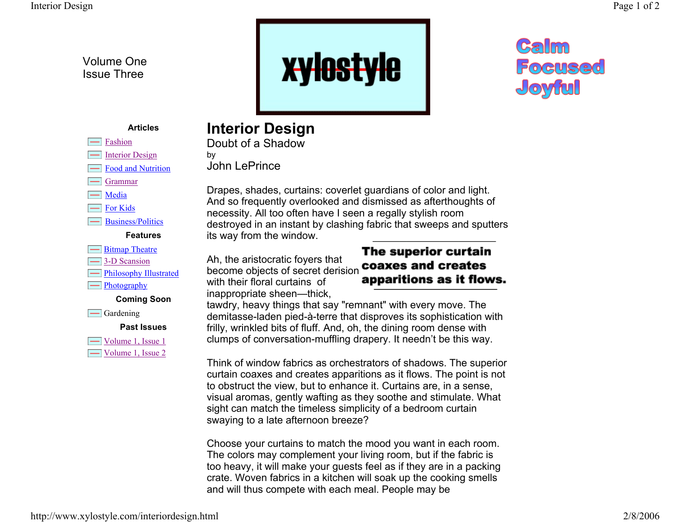Volume One Issue Three



## Calm Focused Joyful

#### **Articles**

- Fashion
- $\equiv$ Interior Design
- Food and Nutrition
- Grammar
- $\equiv$  Media
- For Kids
- Business/Politics

#### **Features**

- **Example 1** Bitmap Theatre
- 3-D Scansion
- $\equiv$  Philosophy Illustrated
- $\equiv$ Photography

**Coming Soon**

 $\equiv$  Gardening

**Past Issues**

 $\Box$  Volume 1, Issue 1 Volume 1, Issue 2

### **Interior Design**

Doubt of a Shadowby John LePrince

Drapes, shades, curtains: coverlet guardians of color and light. And so frequently overlooked and dismissed as afterthoughts of necessity. All too often have I seen a regally stylish room destroyed in an instant by clashing fabric that sweeps and sputters its way from the window.

Ah, the aristocratic foyers that An, the anstocratic loyers that<br>become objects of secret derision **coaxes and creates**<br>with their floral curtains of **apparitions as it flows.** with their floral curtains of inappropriate sheen—thick,

# The superior curtain

tawdry, heavy things that say "remnant" with every move. The demitasse-laden pied-à-terre that disproves its sophistication with frilly, wrinkled bits of fluff. And, oh, the dining room dense with clumps of conversation-muffling drapery. It needn't be this way.

Think of window fabrics as orchestrators of shadows. The superior curtain coaxes and creates apparitions as it flows. The point is not to obstruct the view, but to enhance it. Curtains are, in a sense, visual aromas, gently wafting as they soothe and stimulate. What sight can match the timeless simplicity of a bedroom curtain swaying to a late afternoon breeze?

Choose your curtains to match the mood you want in each room. The colors may complement your living room, but if the fabric is too heavy, it will make your guests feel as if they are in a packing crate. Woven fabrics in a kitchen will soak up the cooking smells and will thus compete with each meal. People may be